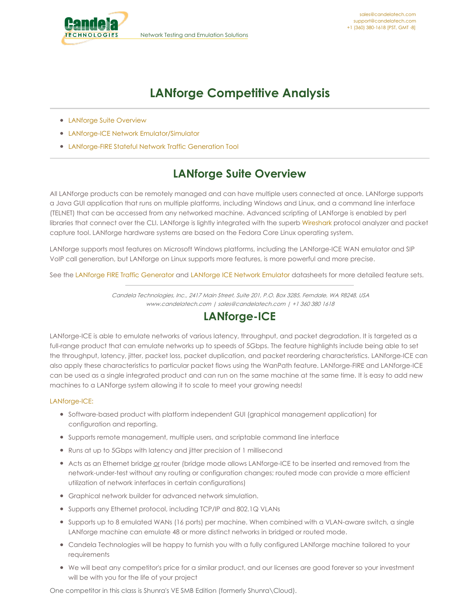<span id="page-0-0"></span>

# **LANforge Competitive Analysis**

- [LANforge](#page-0-0) Suite Overview
- LANforge-ICE Network [Emulator/Simulator](#page-0-0)
- [LANforge-FIRE](#page-0-0) Stateful Network Traffic Generation Tool

## **LANforge Suite Overview**

All LANforge products can be remotely managed and can have multiple users connected at once. LANforge supports a Java GUI application that runs on multiple platforms, including Windows and Linux, and a command line interface (TELNET) that can be accessed from any networked machine. Advanced scripting of LANforge is enabled by perl libraries that connect over the CLI. LANforge is lightly integrated with the superb [Wireshark](http://www.wireshark.org/) protocol analyzer and packet capture tool. LANforge hardware systems are based on the Fedora Core Linux operating system.

LANforge supports most features on Microsoft Windows platforms, including the LANforge-ICE WAN emulator and SIP VoIP call generation, but LANforge on Linux supports more features, is more powerful and more precise.

See the LANforge FIRE Traffic [Generator](http://www.candelatech.com/datasheet_fire.php) and [LANforge](http://www.candelatech.com/datasheet_ice.php) ICE Network Emulator datasheets for more detailed feature sets.

Candela Technologies, Inc., 2417 Main Street, Suite 201, P.O. Box 3285, Ferndale, WA 98248, USA www.candelatech.com | sales@candelatech.com | +1 360 380 1618

# **LANforge-ICE**

LANforge-ICE is able to emulate networks of various latency, throughput, and packet degradation. It is targeted as a full-range product that can emulate networks up to speeds of 5Gbps. The feature highlights include being able to set the throughput, latency, jitter, packet loss, packet duplication, and packet reordering characteristics. LANforge-ICE can also apply these characteristics to particular packet flows using the WanPath feature. LANforge-FIRE and LANforge-ICE can be used as a single integrated product and can run on the same machine at the same time. It is easy to add new machines to a LANforge system allowing it to scale to meet your growing needs!

## [LANforge-ICE:](http://www.candelatech.com/datasheet_ice.php)

- Software-based product with platform independent GUI (graphical management application) for configuration and reporting.
- Supports remote management, multiple users, and scriptable command line interface
- Runs at up to 5Gbps with latency and jitter precision of 1 millisecond
- Acts as an Ethernet bridge or router (bridge mode allows LANforge-ICE to be inserted and removed from the network-under-test without any routing or configuration changes; routed mode can provide a more efficient utilization of network interfaces in certain configurations)
- Graphical network builder for advanced network simulation.
- Supports any Ethernet protocol, including TCP/IP and 802.1Q VLANs
- Supports up to 8 emulated WANs (16 ports) per machine. When combined with a VLAN-aware switch, a single LANforge machine can emulate 48 or more distinct networks in bridged or routed mode.
- Candela Technologies will be happy to furnish you with a fully configured LANforge machine tailored to your requirements
- We will beat any competitor's price for a similar product, and our licenses are good forever so your investment will be with you for the life of your project

One competitor in this class is Shunra's VE SMB Edition (formerly Shunra\Cloud).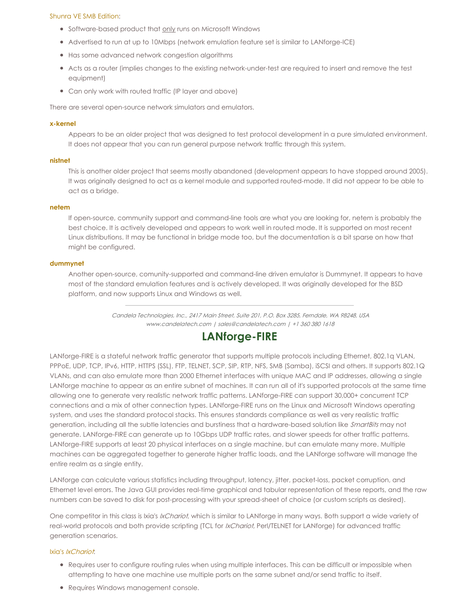#### [Shunra](http://www.shunra.com/shunra_ve_smb.aspx) VE SMB Edition:

- Software-based product that only runs on Microsoft Windows
- Advertised to run at up to 10Mbps (network emulation feature set is similar to LANforge-ICE)
- Has some advanced network congestion algorithms
- Acts as a router (implies changes to the existing network-under-test are required to insert and remove the test equipment)
- Can only work with routed traffic (IP layer and above)

There are several open-source network simulators and emulators.

#### **[x-kernel](http://www.cs.arizona.edu/projects/xkernel/)**

Appears to be an older project that was designed to test protocol development in a pure simulated environment. It does not appear that you can run general purpose network traffic through this system.

#### **[nistnet](http://snad.ncsl.nist.gov/nistnet/)**

This is another older project that seems mostly abandoned (development appears to have stopped around 2005). It was originally designed to act as a kernel module and supported routed-mode. It did not appear to be able to act as a bridge.

#### **[netem](http://www.linuxfoundation.org/collaborate/workgroups/networking/netem)**

If open-source, community support and command-line tools are what you are looking for, netem is probably the best choice. It is actively developed and appears to work well in routed mode. It is supported on most recent Linux distributions. It may be functional in bridge mode too, but the documentation is a bit sparse on how that might be configured.

#### **[dummynet](http://info.iet.unipi.it/~luigi/dummynet/)**

Another open-source, comunity-supported and command-line driven emulator is Dummynet. It appears to have most of the standard emulation features and is actively developed. It was originally developed for the BSD platform, and now supports Linux and Windows as well.

> Candela Technologies, Inc., 2417 Main Street, Suite 201, P.O. Box 3285, Ferndale, WA 98248, USA www.candelatech.com | sales@candelatech.com | +1 360 380 1618

## **LANforge-FIRE**

LANforge-FIRE is a stateful network traffic generator that supports multiple protocols including Ethernet, 802.1q VLAN, PPPoE, UDP, TCP, IPv6, HTTP, HTTPS (SSL), FTP, TELNET, SCP, SIP, RTP, NFS, SMB (Samba), iSCSI and others. It supports 802.1Q VLANs, and can also emulate more than 2000 Ethernet interfaces with unique MAC and IP addresses, allowing a single LANforge machine to appear as an entire subnet of machines. It can run all of it's supported protocols at the same time allowing one to generate very realistic network traffic patterns. LANforge-FIRE can support 30,000+ concurrent TCP connections and a mix of other connection types. LANforge-FIRE runs on the Linux and Microsoft Windows operating system, and uses the standard protocol stacks. This ensures standards compliance as well as very realistic traffic generation, including all the subtle latencies and burstiness that a hardware-based solution like SmartBits may not generate. LANforge-FIRE can generate up to 10Gbps UDP traffic rates, and slower speeds for other traffic patterns. LANforge-FIRE supports at least 20 physical interfaces on a single machine, but can emulate many more. Multiple machines can be aggregated together to generate higher traffic loads, and the LANforge software will manage the entire realm as a single entity.

LANforge can calculate various statistics including throughput, latency, jitter, packet-loss, packet corruption, and Ethernet level errors. The Java GUI provides real-time graphical and tabular representation of these reports, and the raw numbers can be saved to disk for post-processing with your spread-sheet of choice (or custom scripts as desired).

One competitor in this class is Ixia's IxChariot, which is similar to LANforge in many ways. Both support a wide variety of real-world protocols and both provide scripting (TCL for IxChariot, Perl/TELNET for LANforge) for advanced traffic generation scenarios.

## Ixia's [IxChariot](http://www.ixiacom.com/products/ixchariot/):

- Requires user to configure routing rules when using multiple interfaces. This can be difficult or impossible when attempting to have one machine use multiple ports on the same subnet and/or send traffic to itself.
- Requires Windows management console.